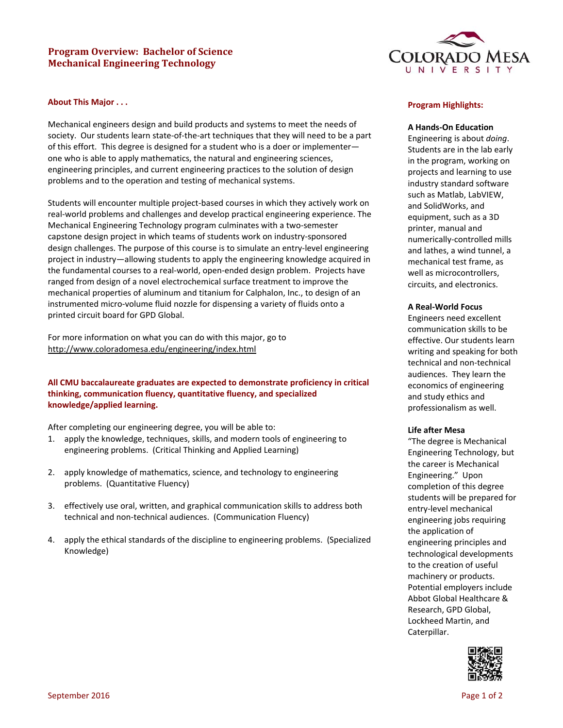# **Program Overview: Bachelor of Science Mechanical Engineering Technology**



### **About This Major . . .**

Mechanical engineers design and build products and systems to meet the needs of society. Our students learn state-of-the-art techniques that they will need to be a part of this effort. This degree is designed for a student who is a doer or implementer one who is able to apply mathematics, the natural and engineering sciences, engineering principles, and current engineering practices to the solution of design problems and to the operation and testing of mechanical systems.

Students will encounter multiple project‐based courses in which they actively work on real‐world problems and challenges and develop practical engineering experience. The Mechanical Engineering Technology program culminates with a two‐semester capstone design project in which teams of students work on industry‐sponsored design challenges. The purpose of this course is to simulate an entry-level engineering project in industry—allowing students to apply the engineering knowledge acquired in the fundamental courses to a real‐world, open‐ended design problem. Projects have ranged from design of a novel electrochemical surface treatment to improve the mechanical properties of aluminum and titanium for Calphalon, Inc., to design of an instrumented micro‐volume fluid nozzle for dispensing a variety of fluids onto a printed circuit board for GPD Global.

For more information on what you can do with this major, go to http://www.coloradomesa.edu/engineering/index.html

# **All CMU baccalaureate graduates are expected to demonstrate proficiency in critical thinking, communication fluency, quantitative fluency, and specialized knowledge/applied learning.**

After completing our engineering degree, you will be able to:

- 1. apply the knowledge, techniques, skills, and modern tools of engineering to engineering problems. (Critical Thinking and Applied Learning)
- 2. apply knowledge of mathematics, science, and technology to engineering problems. (Quantitative Fluency)
- 3. effectively use oral, written, and graphical communication skills to address both technical and non‐technical audiences. (Communication Fluency)
- 4. apply the ethical standards of the discipline to engineering problems. (Specialized Knowledge)

### **Program Highlights:**

#### **A Hands‐On Education**

Engineering is about *doing*. Students are in the lab early in the program, working on projects and learning to use industry standard software such as Matlab, LabVIEW, and SolidWorks, and equipment, such as a 3D printer, manual and numerically‐controlled mills and lathes, a wind tunnel, a mechanical test frame, as well as microcontrollers, circuits, and electronics.

### **A Real‐World Focus**

Engineers need excellent communication skills to be effective. Our students learn writing and speaking for both technical and non‐technical audiences. They learn the economics of engineering and study ethics and professionalism as well.

### **Life after Mesa**

"The degree is Mechanical Engineering Technology, but the career is Mechanical Engineering." Upon completion of this degree students will be prepared for entry‐level mechanical engineering jobs requiring the application of engineering principles and technological developments to the creation of useful machinery or products. Potential employers include Abbot Global Healthcare & Research, GPD Global, Lockheed Martin, and Caterpillar.